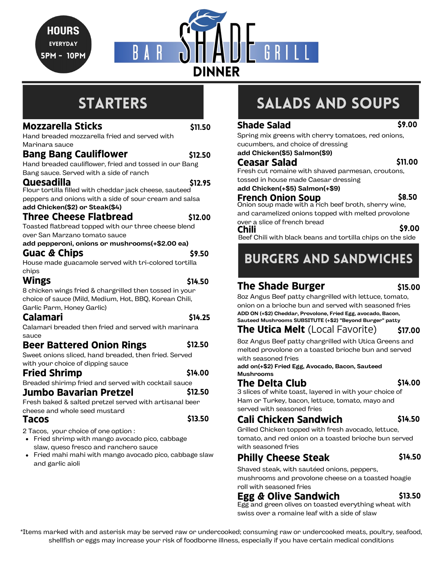Hours **EVERYDAY** 5pm - 10pm



# **STARTERS**

#### **Mozzarella Sticks**

\$11.50

\$12.50

Hand breaded mozzarella fried and served with Marinara sauce

#### **Bang Bang Cauliflower**

Hand breaded cauliflower, fried and tossed in our Bang Bang sauce. Served with a side of ranch

#### **Quesadilla**

Flour tortilla filled with cheddar jack cheese, sauteed peppers and onions with a side of sour cream and salsa **add Chicken(\$2) or Steak(\$4)** \$12.95

#### **Three Cheese Flatbread** \$12.00

Toasted flatbread topped with our three cheese blend over San Marzano tomato sauce

#### **Guac & Chips add pepperoni, onions or mushrooms(+\$2.00 ea)** \$9.50

House made guacamole served with tri-colored tortilla chips

# **Wings**

\$14.50

\$14.25

\$13.50

\$14.00

\$12.50

8 chicken wings fried & chargrilled then tossed in your choice of sauce (Mild, Medium, Hot, BBQ, Korean Chili, Garlic Parm, Honey Garlic)

## **Calamari**

Calamari breaded then fried and served with marinara sauce

#### **Beer Battered Onion Rings** \$12.50

Sweet onions sliced, hand breaded, then fried. Served with your choice of dipping sauce

#### **Fried Shrimp**

Breaded shirimp fried and served with cocktail sauce

### **Jumbo Bavarian Pretzel**

Fresh baked & salted pretzel served with artisanal beer cheese and whole seed mustard

### **Tacos**

2 Tacos, your choice of one option :

- Fried shrimp with mango avocado pico, cabbage slaw, queso fresco and ranchero sauce
- Fried mahi mahi with mango avocado pico, cabbage slaw and garlic aioli

# SALADS and Soups

#### \$9.00

\$11.00

\$8.50

Spring mix greens with cherry tomatoes, red onions, cucumbers, and choice of dressing **add Chicken(\$5) Salmon(\$9)**

### **Ceasar Salad**

Fresh cut romaine with shaved parmesan, croutons, tossed in house made Caesar dressing

**add Chicken(+\$5) Salmon(+\$9)**

**Shade Salad**

#### **French Onion Soup**

Onion soup made with a rich beef broth, sherry wine, and caramelized onions topped with melted provolone

over a slice of french bread **Chili** \$9.00

Beef Chili with black beans and tortilla chips on the side

# Burgers and Sandwiches

# **The Shade Burger**

#### \$15.00

8oz Angus Beef patty chargrilled with lettuce, tomato, onion on a brioche bun and served with seasoned fries **ADD ON (+\$2) Cheddar, Provolone, Fried Egg, avocado, Bacon, Sauteed Mushrooms SUBSITUTE (+\$2) "Beyond Burger" patty**

#### **The Utica Melt** (Local Favorite) \$17.00

8oz Angus Beef patty chargrilled with Utica Greens and melted provolone on a toasted brioche bun and served with seasoned fries

**add on(+\$2) Fried Egg, Avocado, Bacon, Sauteed Mushrooms**

### **The Delta Club**

\$14.00

3 slices of white toast, layered in with your choice of Ham or Turkey, bacon, lettuce, tomato, mayo and served with seasoned fries

# **Cali Chicken Sandwich**

\$14.50

Grilled Chicken topped with fresh avocado, lettuce, tomato, and red onion on a toasted brioche bun served with seasoned fries

#### **Philly Cheese Steak** \$14.50

Shaved steak, with sautéed onions, peppers, mushrooms and provolone cheese on a toasted hoagie roll with seasoned fries

#### **Egg & Olive Sandwich** \$13.50

Egg and green olives on toasted everything wheat with swiss over a romaine leaf with a side of slaw

\*Items marked with and asterisk may be served raw or undercooked; consuming raw or undercooked meats, poultry, seafood, shellfish or eggs may increase your risk of foodborne illness, especially if you have certain medical conditions